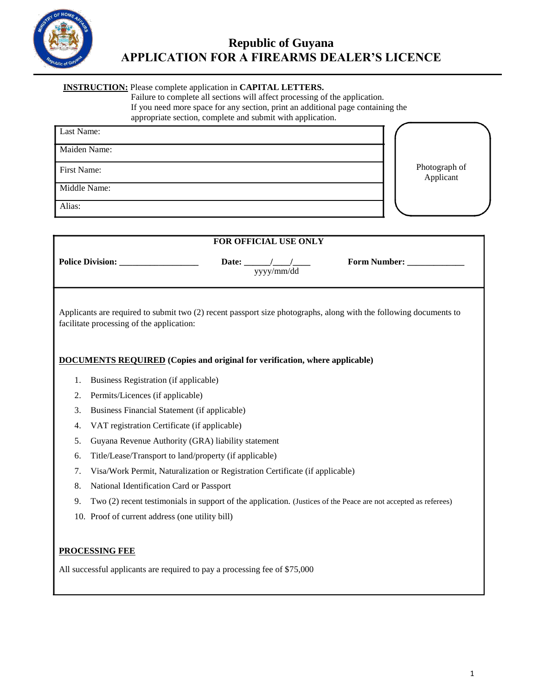

# **INSTRUCTION:** Please complete application in **CAPITAL LETTERS.**

Failure to complete all sections will affect processing of the application.

If you need more space for any section, print an additional page containing the

appropriate section, complete and submit with application.

| Last Name:   |                            |
|--------------|----------------------------|
| Maiden Name: |                            |
| First Name:  | Photograph of<br>Applicant |
| Middle Name: |                            |
| Alias:       |                            |

| FOR OFFICIAL USE ONLY                                                                                                                                          |                                                                                                                 |  |  |  |  |
|----------------------------------------------------------------------------------------------------------------------------------------------------------------|-----------------------------------------------------------------------------------------------------------------|--|--|--|--|
|                                                                                                                                                                | <b>Police Division:</b><br>Form Number:<br>Date: $\qquad \qquad$<br>yyyy/mm/dd                                  |  |  |  |  |
| Applicants are required to submit two (2) recent passport size photographs, along with the following documents to<br>facilitate processing of the application: |                                                                                                                 |  |  |  |  |
|                                                                                                                                                                | <b>DOCUMENTS REQUIRED</b> (Copies and original for verification, where applicable)                              |  |  |  |  |
| 1.                                                                                                                                                             | Business Registration (if applicable)                                                                           |  |  |  |  |
| 2.                                                                                                                                                             | Permits/Licences (if applicable)                                                                                |  |  |  |  |
| 3.                                                                                                                                                             | Business Financial Statement (if applicable)                                                                    |  |  |  |  |
| 4.                                                                                                                                                             | VAT registration Certificate (if applicable)                                                                    |  |  |  |  |
| 5.                                                                                                                                                             | Guyana Revenue Authority (GRA) liability statement                                                              |  |  |  |  |
| 6.                                                                                                                                                             | Title/Lease/Transport to land/property (if applicable)                                                          |  |  |  |  |
| 7.                                                                                                                                                             | Visa/Work Permit, Naturalization or Registration Certificate (if applicable)                                    |  |  |  |  |
| 8.                                                                                                                                                             | National Identification Card or Passport                                                                        |  |  |  |  |
| 9.                                                                                                                                                             | Two (2) recent testimonials in support of the application. (Justices of the Peace are not accepted as referees) |  |  |  |  |
|                                                                                                                                                                | 10. Proof of current address (one utility bill)                                                                 |  |  |  |  |
|                                                                                                                                                                |                                                                                                                 |  |  |  |  |
| <b>PROCESSING FEE</b>                                                                                                                                          |                                                                                                                 |  |  |  |  |
|                                                                                                                                                                | All successful applicants are required to pay a processing fee of \$75,000                                      |  |  |  |  |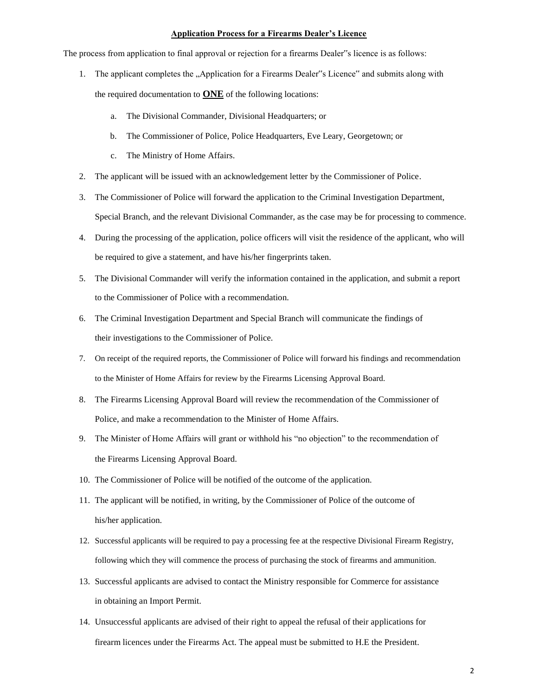#### **Application Process for a Firearms Dealer's Licence**

The process from application to final approval or rejection for a firearms Dealer"s licence is as follows:

- 1. The applicant completes the "Application for a Firearms Dealer"s Licence" and submits along with the required documentation to **ONE** of the following locations:
	- a. The Divisional Commander, Divisional Headquarters; or
	- b. The Commissioner of Police, Police Headquarters, Eve Leary, Georgetown; or
	- c. The Ministry of Home Affairs.
- 2. The applicant will be issued with an acknowledgement letter by the Commissioner of Police.
- 3. The Commissioner of Police will forward the application to the Criminal Investigation Department, Special Branch, and the relevant Divisional Commander, as the case may be for processing to commence.
- 4. During the processing of the application, police officers will visit the residence of the applicant, who will be required to give a statement, and have his/her fingerprints taken.
- 5. The Divisional Commander will verify the information contained in the application, and submit a report to the Commissioner of Police with a recommendation.
- 6. The Criminal Investigation Department and Special Branch will communicate the findings of their investigations to the Commissioner of Police.
- 7. On receipt of the required reports, the Commissioner of Police will forward his findings and recommendation to the Minister of Home Affairs for review by the Firearms Licensing Approval Board.
- 8. The Firearms Licensing Approval Board will review the recommendation of the Commissioner of Police, and make a recommendation to the Minister of Home Affairs.
- 9. The Minister of Home Affairs will grant or withhold his "no objection" to the recommendation of the Firearms Licensing Approval Board.
- 10. The Commissioner of Police will be notified of the outcome of the application.
- 11. The applicant will be notified, in writing, by the Commissioner of Police of the outcome of his/her application.
- 12. Successful applicants will be required to pay a processing fee at the respective Divisional Firearm Registry, following which they will commence the process of purchasing the stock of firearms and ammunition.
- 13. Successful applicants are advised to contact the Ministry responsible for Commerce for assistance in obtaining an Import Permit.
- 14. Unsuccessful applicants are advised of their right to appeal the refusal of their applications for firearm licences under the Firearms Act. The appeal must be submitted to H.E the President.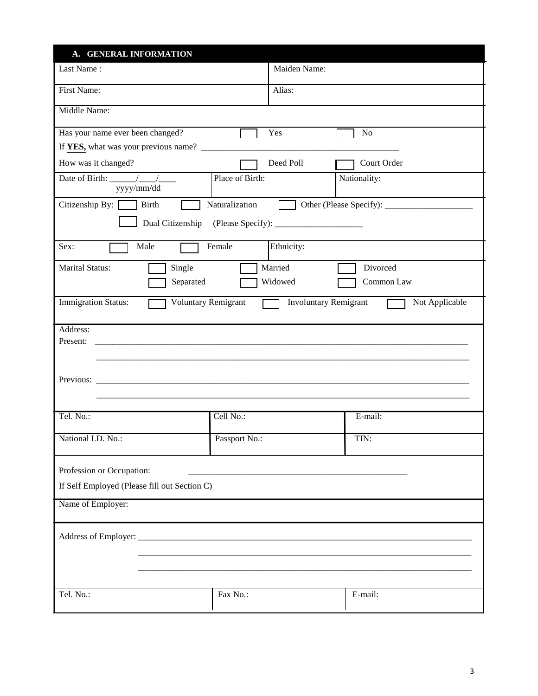| A. GENERAL INFORMATION                                        |                      |                                                |  |  |  |
|---------------------------------------------------------------|----------------------|------------------------------------------------|--|--|--|
| Last Name:                                                    | Maiden Name:         |                                                |  |  |  |
| First Name:                                                   | Alias:               |                                                |  |  |  |
| Middle Name:                                                  |                      |                                                |  |  |  |
| Has your name ever been changed?                              | Yes                  | $\rm No$                                       |  |  |  |
|                                                               |                      |                                                |  |  |  |
| How was it changed?                                           | Deed Poll            | Court Order                                    |  |  |  |
| Date of Birth: $\frac{1}{\sqrt{1-\frac{1}{2}}}$<br>yyyy/mm/dd | Place of Birth:      | Nationality:                                   |  |  |  |
| Citizenship By: Birth                                         | Naturalization       |                                                |  |  |  |
|                                                               |                      |                                                |  |  |  |
| Male<br>Sex:                                                  | Female<br>Ethnicity: |                                                |  |  |  |
| <b>Marital Status:</b><br>Single                              | Married              | Divorced                                       |  |  |  |
| Separated                                                     | Widowed              | Common Law                                     |  |  |  |
| <b>Immigration Status:</b><br><b>Voluntary Remigrant</b>      | $\Box$               | <b>Involuntary Remigrant</b><br>Not Applicable |  |  |  |
| Address:                                                      |                      |                                                |  |  |  |
| Present:                                                      |                      |                                                |  |  |  |
|                                                               |                      |                                                |  |  |  |
|                                                               |                      |                                                |  |  |  |
|                                                               |                      |                                                |  |  |  |
|                                                               |                      |                                                |  |  |  |
| Tel. No.:                                                     | Cell No.:            | $E$ -mail:                                     |  |  |  |
| National I.D. No.:                                            | Passport No.:        | TIN:                                           |  |  |  |
| Profession or Occupation:                                     |                      |                                                |  |  |  |
| If Self Employed (Please fill out Section C)                  |                      |                                                |  |  |  |
| Name of Employer:                                             |                      |                                                |  |  |  |
|                                                               |                      |                                                |  |  |  |
|                                                               |                      |                                                |  |  |  |
|                                                               |                      |                                                |  |  |  |
|                                                               |                      |                                                |  |  |  |
|                                                               |                      |                                                |  |  |  |
| Tel. No.:                                                     | Fax No.:             | E-mail:                                        |  |  |  |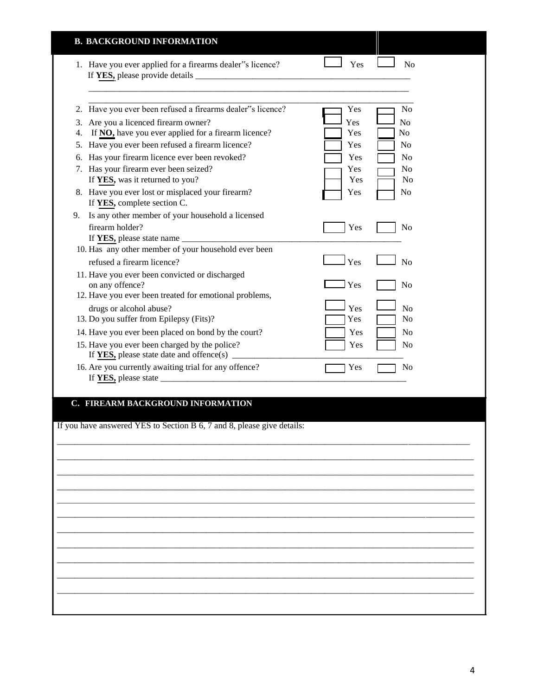|                       | <b>B. BACKGROUND INFORMATION</b>                                                                                                                                                                                                                                                                                                                                                                                      |                                                      |                                                                                              |
|-----------------------|-----------------------------------------------------------------------------------------------------------------------------------------------------------------------------------------------------------------------------------------------------------------------------------------------------------------------------------------------------------------------------------------------------------------------|------------------------------------------------------|----------------------------------------------------------------------------------------------|
|                       | 1. Have you ever applied for a firearms dealer"s licence?                                                                                                                                                                                                                                                                                                                                                             | Yes                                                  | N <sub>o</sub>                                                                               |
| 2.<br>3.<br>4.<br>6.  | Have you ever been refused a firearms dealer"s licence?<br>Are you a licenced firearm owner?<br>If NO, have you ever applied for a firearm licence?<br>5. Have you ever been refused a firearm licence?<br>Has your firearm licence ever been revoked?<br>7. Has your firearm ever been seized?<br>If YES, was it returned to you?<br>8. Have you ever lost or misplaced your firearm?<br>If YES, complete section C. | Yes<br>Yes<br>Yes<br>Yes<br>Yes<br>Yes<br>Yes<br>Yes | N <sub>o</sub><br>N <sub>o</sub><br>No<br>No<br>No<br>N <sub>0</sub><br>No<br>N <sub>0</sub> |
| 9.<br>firearm holder? | Is any other member of your household a licensed<br>10. Has any other member of your household ever been                                                                                                                                                                                                                                                                                                              | Yes                                                  | No                                                                                           |
| on any offence?       | refused a firearm licence?<br>11. Have you ever been convicted or discharged<br>12. Have you ever been treated for emotional problems,<br>drugs or alcohol abuse?<br>13. Do you suffer from Epilepsy (Fits)?<br>14. Have you ever been placed on bond by the court?<br>15. Have you ever been charged by the police?<br>16. Are you currently awaiting trial for any offence?                                         | Yes<br>Yes<br>Yes<br>Yes<br>Yes<br>Yes<br>Yes        | N <sub>o</sub><br>N <sub>0</sub><br>No<br>N <sub>o</sub><br>No<br>No<br>No                   |
|                       | C. FIREARM BACKGROUND INFORMATION<br>If you have answered YES to Section B 6, 7 and 8, please give details:                                                                                                                                                                                                                                                                                                           |                                                      |                                                                                              |
|                       |                                                                                                                                                                                                                                                                                                                                                                                                                       |                                                      |                                                                                              |
|                       |                                                                                                                                                                                                                                                                                                                                                                                                                       |                                                      |                                                                                              |
|                       |                                                                                                                                                                                                                                                                                                                                                                                                                       |                                                      |                                                                                              |
|                       |                                                                                                                                                                                                                                                                                                                                                                                                                       |                                                      |                                                                                              |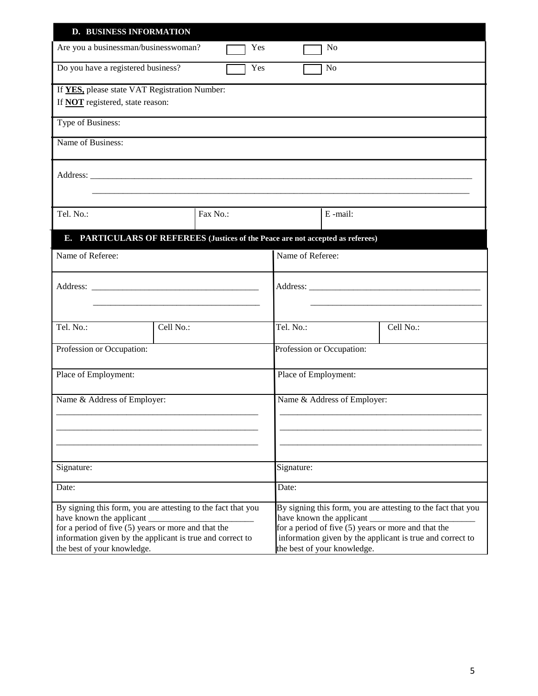| <b>D. BUSINESS INFORMATION</b>                                                                                   |                          |                                                                                                                  |                             |                           |                                                              |
|------------------------------------------------------------------------------------------------------------------|--------------------------|------------------------------------------------------------------------------------------------------------------|-----------------------------|---------------------------|--------------------------------------------------------------|
| Are you a businessman/businesswoman?                                                                             |                          | Yes                                                                                                              |                             | No                        |                                                              |
| Do you have a registered business?<br>Yes<br>N <sub>o</sub>                                                      |                          |                                                                                                                  |                             |                           |                                                              |
| If YES, please state VAT Registration Number:                                                                    |                          |                                                                                                                  |                             |                           |                                                              |
| If <b>NOT</b> registered, state reason:                                                                          |                          |                                                                                                                  |                             |                           |                                                              |
| Type of Business:                                                                                                |                          |                                                                                                                  |                             |                           |                                                              |
| Name of Business:                                                                                                |                          |                                                                                                                  |                             |                           |                                                              |
|                                                                                                                  |                          |                                                                                                                  |                             |                           |                                                              |
|                                                                                                                  |                          |                                                                                                                  |                             |                           |                                                              |
| Tel. No.:                                                                                                        | Fax No.:                 |                                                                                                                  |                             | E-mail:                   |                                                              |
|                                                                                                                  |                          |                                                                                                                  |                             |                           |                                                              |
| E. PARTICULARS OF REFEREES (Justices of the Peace are not accepted as referees)                                  |                          |                                                                                                                  |                             |                           |                                                              |
| Name of Referee:                                                                                                 |                          |                                                                                                                  | Name of Referee:            |                           |                                                              |
|                                                                                                                  |                          |                                                                                                                  |                             |                           |                                                              |
|                                                                                                                  |                          |                                                                                                                  |                             |                           |                                                              |
|                                                                                                                  |                          |                                                                                                                  |                             |                           |                                                              |
| Tel. No.:                                                                                                        | Cell No.:                |                                                                                                                  | Tel. No.:                   |                           | Cell No.:                                                    |
| Profession or Occupation:                                                                                        |                          |                                                                                                                  |                             | Profession or Occupation: |                                                              |
| Place of Employment:                                                                                             |                          |                                                                                                                  | Place of Employment:        |                           |                                                              |
| Name & Address of Employer:                                                                                      |                          |                                                                                                                  | Name & Address of Employer: |                           |                                                              |
|                                                                                                                  |                          |                                                                                                                  |                             |                           |                                                              |
|                                                                                                                  |                          |                                                                                                                  |                             |                           |                                                              |
|                                                                                                                  |                          |                                                                                                                  |                             |                           |                                                              |
| Signature:                                                                                                       |                          |                                                                                                                  | Signature:                  |                           |                                                              |
| Date:                                                                                                            |                          |                                                                                                                  | Date:                       |                           |                                                              |
| By signing this form, you are attesting to the fact that you                                                     |                          |                                                                                                                  |                             |                           | By signing this form, you are attesting to the fact that you |
|                                                                                                                  | have known the applicant |                                                                                                                  | have known the applicant    |                           |                                                              |
| for a period of five (5) years or more and that the<br>information given by the applicant is true and correct to |                          | for a period of five (5) years or more and that the<br>information given by the applicant is true and correct to |                             |                           |                                                              |
| the best of your knowledge.                                                                                      |                          | the best of your knowledge.                                                                                      |                             |                           |                                                              |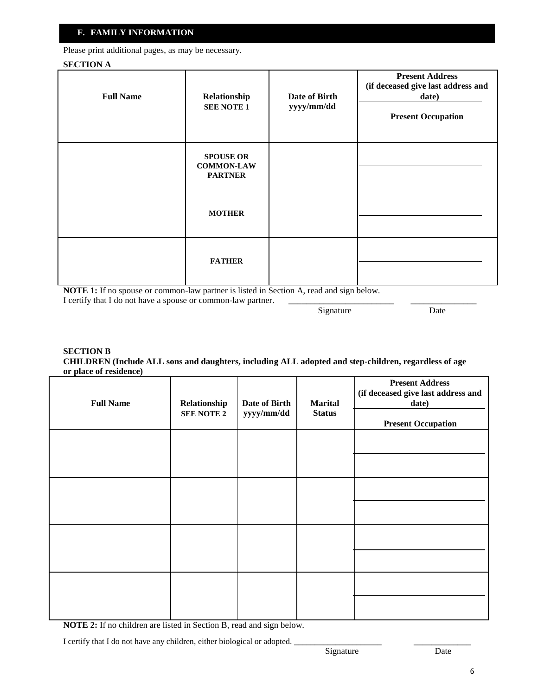### **F. FAMILY INFORMATION**

Please print additional pages, as may be necessary.

#### **SECTION A**

| <b>Full Name</b> | Relationship<br><b>SEE NOTE 1</b>                       | Date of Birth<br>yyyy/mm/dd | <b>Present Address</b><br>(if deceased give last address and<br>date)<br><b>Present Occupation</b> |
|------------------|---------------------------------------------------------|-----------------------------|----------------------------------------------------------------------------------------------------|
|                  | <b>SPOUSE OR</b><br><b>COMMON-LAW</b><br><b>PARTNER</b> |                             |                                                                                                    |
|                  | <b>MOTHER</b>                                           |                             |                                                                                                    |
|                  | <b>FATHER</b>                                           |                             |                                                                                                    |

**NOTE 1:** If no spouse or common-law partner is listed in Section A, read and sign below. I certify that I do not have a spouse or common-law partner.

Signature Date

#### **SECTION B CHILDREN (Include ALL sons and daughters, including ALL adopted and step-children, regardless of age or place of residence)**

| <b>Full Name</b> | Relationship<br><b>SEE NOTE 2</b> | Date of Birth<br>yyyy/mm/dd | <b>Marital</b><br><b>Status</b> | <b>Present Address</b><br>(if deceased give last address and<br>date)<br><b>Present Occupation</b> |
|------------------|-----------------------------------|-----------------------------|---------------------------------|----------------------------------------------------------------------------------------------------|
|                  |                                   |                             |                                 |                                                                                                    |
|                  |                                   |                             |                                 |                                                                                                    |
|                  |                                   |                             |                                 |                                                                                                    |
|                  |                                   |                             |                                 |                                                                                                    |

**NOTE 2:** If no children are listed in Section B, read and sign below.

I certify that I do not have any children, either biological or adopted.

\_\_\_\_\_\_\_\_\_\_\_\_\_ Date